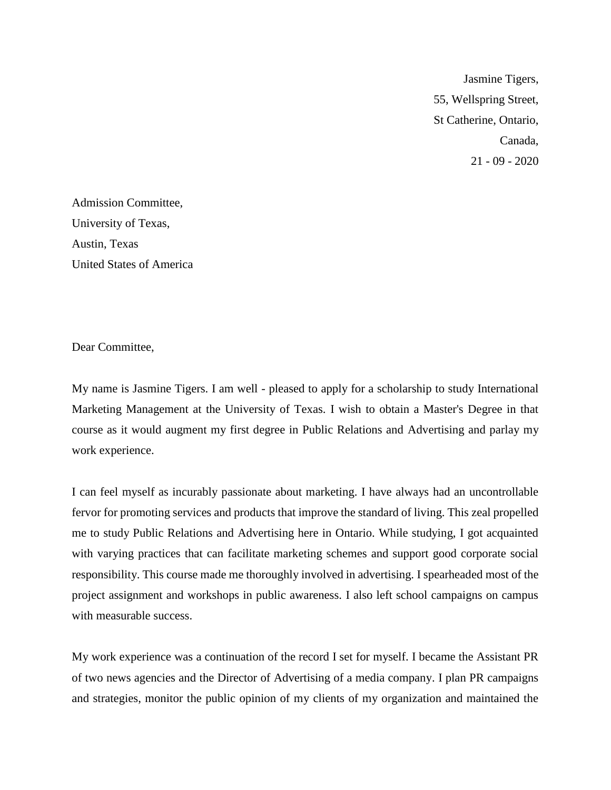Jasmine Tigers, 55, Wellspring Street, St Catherine, Ontario, Canada, 21 - 09 - 2020

Admission Committee, University of Texas, Austin, Texas United States of America

Dear Committee,

My name is Jasmine Tigers. I am well - pleased to apply for a scholarship to study International Marketing Management at the University of Texas. I wish to obtain a Master's Degree in that course as it would augment my first degree in Public Relations and Advertising and parlay my work experience.

I can feel myself as incurably passionate about marketing. I have always had an uncontrollable fervor for promoting services and products that improve the standard of living. This zeal propelled me to study Public Relations and Advertising here in Ontario. While studying, I got acquainted with varying practices that can facilitate marketing schemes and support good corporate social responsibility. This course made me thoroughly involved in advertising. I spearheaded most of the project assignment and workshops in public awareness. I also left school campaigns on campus with measurable success.

My work experience was a continuation of the record I set for myself. I became the Assistant PR of two news agencies and the Director of Advertising of a media company. I plan PR campaigns and strategies, monitor the public opinion of my clients of my organization and maintained the